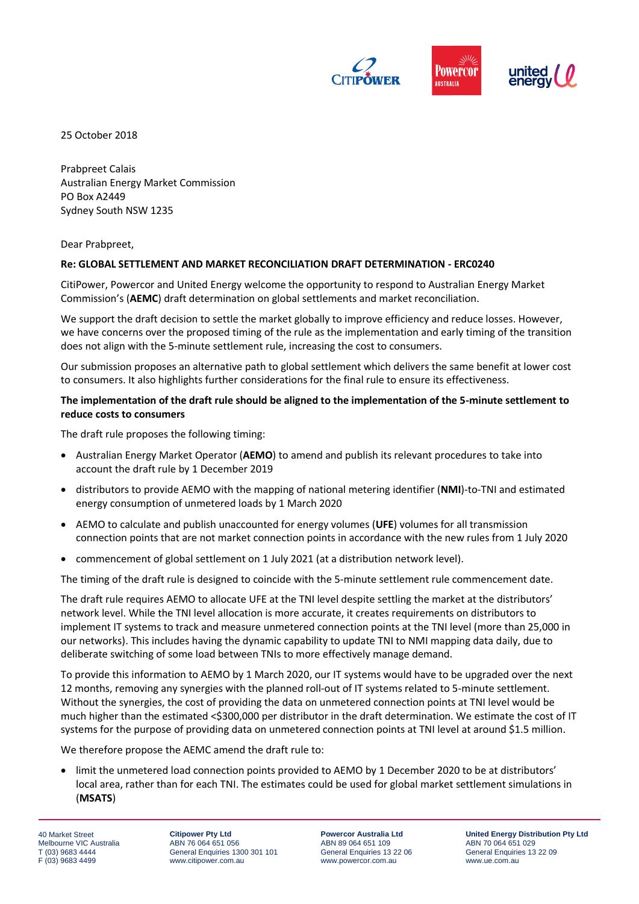

25 October 2018

Prabpreet Calais Australian Energy Market Commission PO Box A2449 Sydney South NSW 1235

Dear Prabpreet,

## **Re: GLOBAL SETTLEMENT AND MARKET RECONCILIATION DRAFT DETERMINATION - ERC0240**

CitiPower, Powercor and United Energy welcome the opportunity to respond to Australian Energy Market Commission's (**AEMC**) draft determination on global settlements and market reconciliation.

We support the draft decision to settle the market globally to improve efficiency and reduce losses. However, we have concerns over the proposed timing of the rule as the implementation and early timing of the transition does not align with the 5-minute settlement rule, increasing the cost to consumers.

Our submission proposes an alternative path to global settlement which delivers the same benefit at lower cost to consumers. It also highlights further considerations for the final rule to ensure its effectiveness.

# **The implementation of the draft rule should be aligned to the implementation of the 5-minute settlement to reduce costs to consumers**

The draft rule proposes the following timing:

- Australian Energy Market Operator (**AEMO**) to amend and publish its relevant procedures to take into account the draft rule by 1 December 2019
- distributors to provide AEMO with the mapping of national metering identifier (**NMI**)-to-TNI and estimated energy consumption of unmetered loads by 1 March 2020
- AEMO to calculate and publish unaccounted for energy volumes (**UFE**) volumes for all transmission connection points that are not market connection points in accordance with the new rules from 1 July 2020
- commencement of global settlement on 1 July 2021 (at a distribution network level).

The timing of the draft rule is designed to coincide with the 5-minute settlement rule commencement date.

The draft rule requires AEMO to allocate UFE at the TNI level despite settling the market at the distributors' network level. While the TNI level allocation is more accurate, it creates requirements on distributors to implement IT systems to track and measure unmetered connection points at the TNI level (more than 25,000 in our networks). This includes having the dynamic capability to update TNI to NMI mapping data daily, due to deliberate switching of some load between TNIs to more effectively manage demand.

To provide this information to AEMO by 1 March 2020, our IT systems would have to be upgraded over the next 12 months, removing any synergies with the planned roll-out of IT systems related to 5-minute settlement. Without the synergies, the cost of providing the data on unmetered connection points at TNI level would be much higher than the estimated <\$300,000 per distributor in the draft determination. We estimate the cost of IT systems for the purpose of providing data on unmetered connection points at TNI level at around \$1.5 million.

We therefore propose the AEMC amend the draft rule to:

 limit the unmetered load connection points provided to AEMO by 1 December 2020 to be at distributors' local area, rather than for each TNI. The estimates could be used for global market settlement simulations in (**MSATS**)

40 Market Street Melbourne VIC Australia T (03) 9683 4444 F (03) 9683 4499

**Citipower Pty Ltd** ABN 76 064 651 056 General Enquiries 1300 301 101 www.citipower.com.au

**Powercor Australia Ltd** ABN 89 064 651 109 General Enquiries 13 22 06 www.powercor.com.au

**United Energy Distribution Pty Ltd** ABN 70 064 651 029 General Enquiries 13 22 09 www.ue.com.au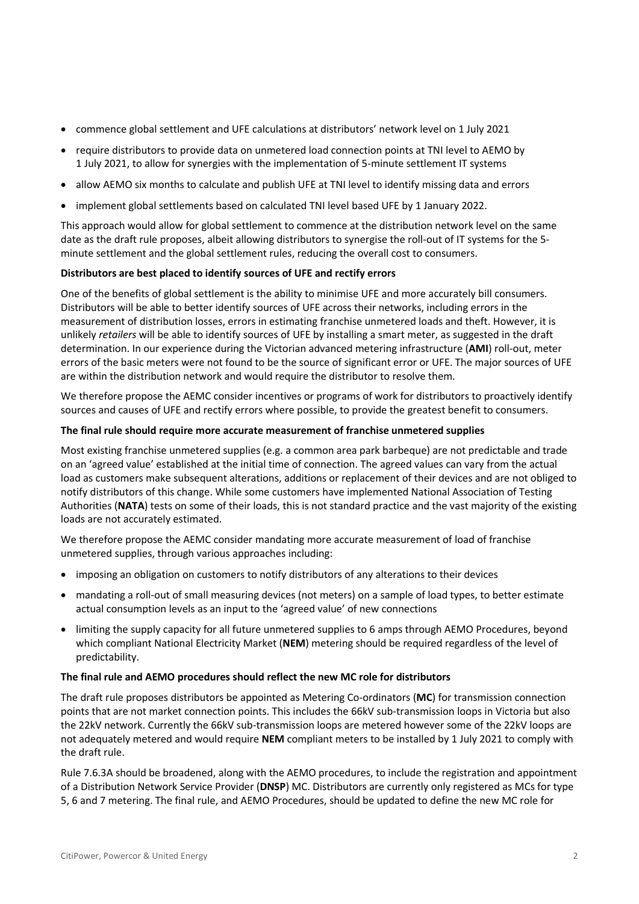- commence global settlement and UFE calculations at distributors' network level on 1 July 2021
- require distributors to provide data on unmetered load connection points at TNI level to AEMO by 1 July 2021, to allow for synergies with the implementation of 5-minute settlement IT systems
- allow AEMO six months to calculate and publish UFE at TNI level to identify missing data and errors
- implement global settlements based on calculated TNI level based UFE by 1 January 2022.

This approach would allow for global settlement to commence at the distribution network level on the same date as the draft rule proposes, albeit allowing distributors to synergise the roll-out of IT systems for the 5 minute settlement and the global settlement rules, reducing the overall cost to consumers.

## **Distributors are best placed to identify sources of UFE and rectify errors**

One of the benefits of global settlement is the ability to minimise UFE and more accurately bill consumers. Distributors will be able to better identify sources of UFE across their networks, including errors in the measurement of distribution losses, errors in estimating franchise unmetered loads and theft. However, it is unlikely *retailers* will be able to identify sources of UFE by installing a smart meter, as suggested in the draft determination. In our experience during the Victorian advanced metering infrastructure (**AMI**) roll-out, meter errors of the basic meters were not found to be the source of significant error or UFE. The major sources of UFE are within the distribution network and would require the distributor to resolve them.

We therefore propose the AEMC consider incentives or programs of work for distributors to proactively identify sources and causes of UFE and rectify errors where possible, to provide the greatest benefit to consumers.

#### **The final rule should require more accurate measurement of franchise unmetered supplies**

Most existing franchise unmetered supplies (e.g. a common area park barbeque) are not predictable and trade on an 'agreed value' established at the initial time of connection. The agreed values can vary from the actual load as customers make subsequent alterations, additions or replacement of their devices and are not obliged to notify distributors of this change. While some customers have implemented National Association of Testing Authorities (**NATA**) tests on some of their loads, this is not standard practice and the vast majority of the existing loads are not accurately estimated.

We therefore propose the AEMC consider mandating more accurate measurement of load of franchise unmetered supplies, through various approaches including:

- imposing an obligation on customers to notify distributors of any alterations to their devices
- mandating a roll-out of small measuring devices (not meters) on a sample of load types, to better estimate actual consumption levels as an input to the 'agreed value' of new connections
- limiting the supply capacity for all future unmetered supplies to 6 amps through AEMO Procedures, beyond which compliant National Electricity Market (**NEM**) metering should be required regardless of the level of predictability.

#### **The final rule and AEMO procedures should reflect the new MC role for distributors**

The draft rule proposes distributors be appointed as Metering Co-ordinators (**MC**) for transmission connection points that are not market connection points. This includes the 66kV sub-transmission loops in Victoria but also the 22kV network. Currently the 66kV sub-transmission loops are metered however some of the 22kV loops are not adequately metered and would require **NEM** compliant meters to be installed by 1 July 2021 to comply with the draft rule.

Rule 7.6.3A should be broadened, along with the AEMO procedures, to include the registration and appointment of a Distribution Network Service Provider (**DNSP**) MC. Distributors are currently only registered as MCs for type 5, 6 and 7 metering. The final rule, and AEMO Procedures, should be updated to define the new MC role for